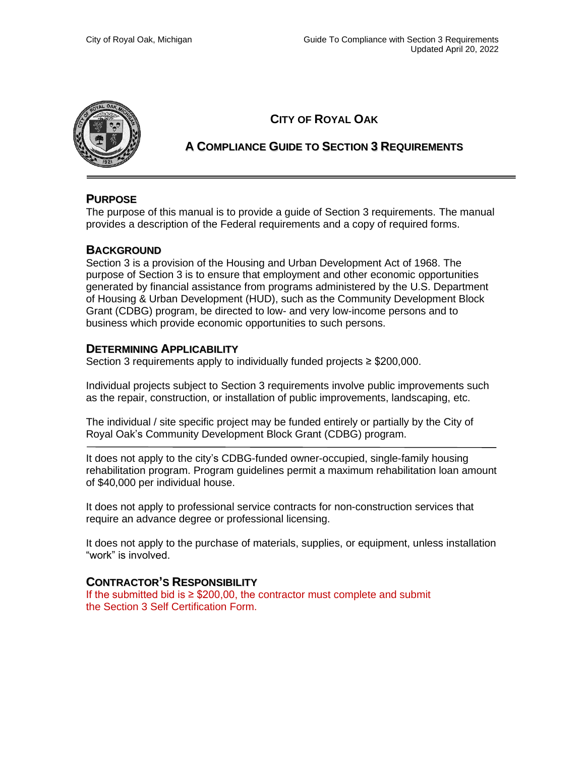

## **CITY OF ROYAL OAK**

## **A COMPLIANCE GUIDE TO SECTION 3 REQUIREMENTS**

### **PURPOSE**

The purpose of this manual is to provide a guide of Section 3 requirements. The manual provides a description of the Federal requirements and a copy of required forms.

### **BACKGROUND**

Section 3 is a provision of the Housing and Urban Development Act of 1968. The purpose of Section 3 is to ensure that employment and other economic opportunities generated by financial assistance from programs administered by the U.S. Department of Housing & Urban Development (HUD), such as the Community Development Block Grant (CDBG) program, be directed to low- and very low-income persons and to business which provide economic opportunities to such persons.

### **DETERMINING APPLICABILITY**

Section 3 requirements apply to individually funded projects ≥ \$200,000.

Individual projects subject to Section 3 requirements involve public improvements such as the repair, construction, or installation of public improvements, landscaping, etc.

The individual / site specific project may be funded entirely or partially by the City of Royal Oak's Community Development Block Grant (CDBG) program.

It does not apply to the city's CDBG-funded owner-occupied, single-family housing rehabilitation program. Program guidelines permit a maximum rehabilitation loan amount of \$40,000 per individual house.

It does not apply to professional service contracts for non-construction services that require an advance degree or professional licensing.

It does not apply to the purchase of materials, supplies, or equipment, unless installation "work" is involved.

### **CONTRACTOR'S RESPONSIBILITY**

If the submitted bid is  $\geq$  \$200,00, the contractor must complete and submit the Section 3 Self Certification Form.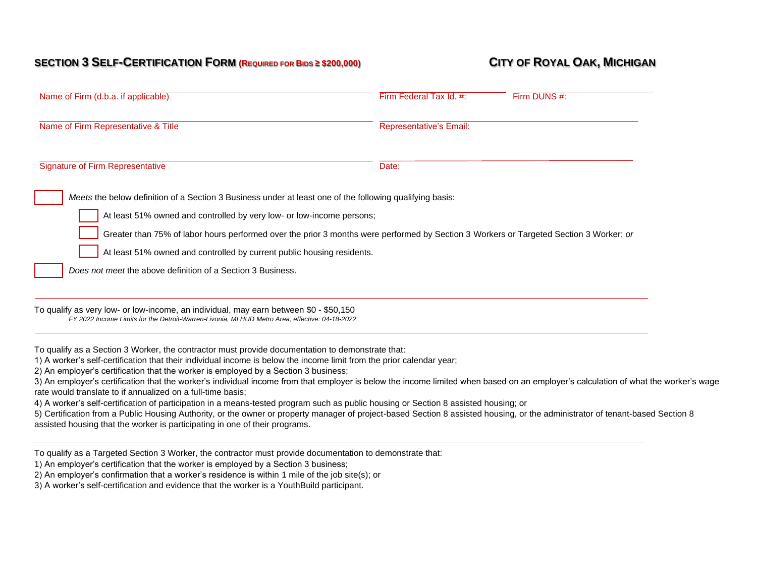## SECTION 3 SELF-CERTIFICATION FORM (REQUIRED FOR BIDS ≥ \$200,000) CITY OF ROYAL OAK, MICHIGAN

| Name of Firm Representative & Title<br>Representative's Email:<br><b>Signature of Firm Representative</b><br>Date:<br>Meets the below definition of a Section 3 Business under at least one of the following qualifying basis:<br>At least 51% owned and controlled by very low- or low-income persons;<br>Greater than 75% of labor hours performed over the prior 3 months were performed by Section 3 Workers or Targeted Section 3 Worker; or<br>At least 51% owned and controlled by current public housing residents.<br>Does not meet the above definition of a Section 3 Business.<br>To qualify as very low- or low-income, an individual, may earn between \$0 - \$50,150<br>FY 2022 Income Limits for the Detroit-Warren-Livonia, MI HUD Metro Area, effective: 04-18-2022 |  |
|---------------------------------------------------------------------------------------------------------------------------------------------------------------------------------------------------------------------------------------------------------------------------------------------------------------------------------------------------------------------------------------------------------------------------------------------------------------------------------------------------------------------------------------------------------------------------------------------------------------------------------------------------------------------------------------------------------------------------------------------------------------------------------------|--|
|                                                                                                                                                                                                                                                                                                                                                                                                                                                                                                                                                                                                                                                                                                                                                                                       |  |
|                                                                                                                                                                                                                                                                                                                                                                                                                                                                                                                                                                                                                                                                                                                                                                                       |  |
|                                                                                                                                                                                                                                                                                                                                                                                                                                                                                                                                                                                                                                                                                                                                                                                       |  |
|                                                                                                                                                                                                                                                                                                                                                                                                                                                                                                                                                                                                                                                                                                                                                                                       |  |
|                                                                                                                                                                                                                                                                                                                                                                                                                                                                                                                                                                                                                                                                                                                                                                                       |  |
|                                                                                                                                                                                                                                                                                                                                                                                                                                                                                                                                                                                                                                                                                                                                                                                       |  |
|                                                                                                                                                                                                                                                                                                                                                                                                                                                                                                                                                                                                                                                                                                                                                                                       |  |
|                                                                                                                                                                                                                                                                                                                                                                                                                                                                                                                                                                                                                                                                                                                                                                                       |  |
|                                                                                                                                                                                                                                                                                                                                                                                                                                                                                                                                                                                                                                                                                                                                                                                       |  |
| To qualify as a Section 3 Worker, the contractor must provide documentation to demonstrate that:                                                                                                                                                                                                                                                                                                                                                                                                                                                                                                                                                                                                                                                                                      |  |
| 1) A worker's self-certification that their individual income is below the income limit from the prior calendar year;<br>2) An employer's certification that the worker is employed by a Section 3 business;                                                                                                                                                                                                                                                                                                                                                                                                                                                                                                                                                                          |  |
| 3) An employer's certification that the worker's individual income from that employer is below the income limited when based on an employer's calculation of what the worker's wage                                                                                                                                                                                                                                                                                                                                                                                                                                                                                                                                                                                                   |  |
| rate would translate to if annualized on a full-time basis;                                                                                                                                                                                                                                                                                                                                                                                                                                                                                                                                                                                                                                                                                                                           |  |
| 4) A worker's self-certification of participation in a means-tested program such as public housing or Section 8 assisted housing; or<br>5) Certification from a Public Housing Authority, or the owner or property manager of project-based Section 8 assisted housing, or the administrator of tenant-based Section 8<br>assisted housing that the worker is participating in one of their programs.                                                                                                                                                                                                                                                                                                                                                                                 |  |
| To qualify as a Targeted Section 3 Worker, the contractor must provide documentation to demonstrate that:<br>1) An employer's certification that the worker is employed by a Section 3 business;                                                                                                                                                                                                                                                                                                                                                                                                                                                                                                                                                                                      |  |

2) An employer's confirmation that a worker's residence is within 1 mile of the job site(s); or

3) A worker's self-certification and evidence that the worker is a YouthBuild participant.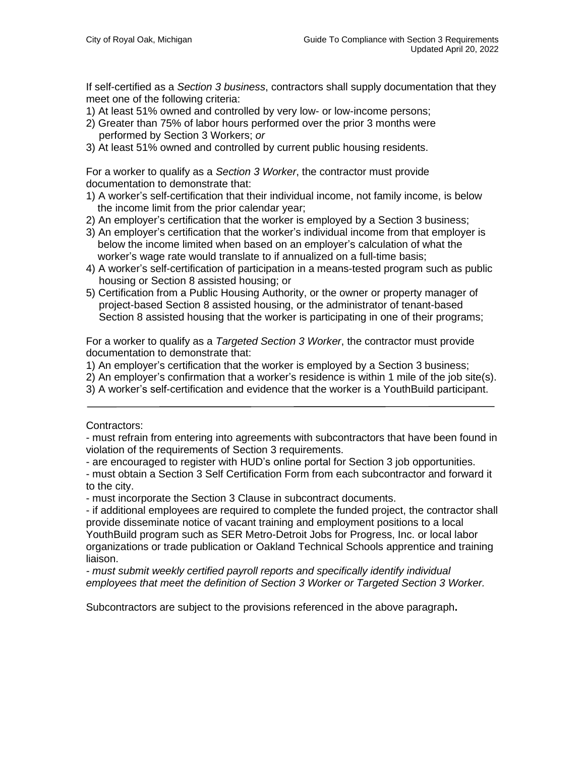If self-certified as a *Section 3 business*, contractors shall supply documentation that they meet one of the following criteria:

- 1) At least 51% owned and controlled by very low- or low-income persons;
- 2) Greater than 75% of labor hours performed over the prior 3 months were performed by Section 3 Workers; *or*
- 3) At least 51% owned and controlled by current public housing residents.

For a worker to qualify as a *Section 3 Worker*, the contractor must provide documentation to demonstrate that:

- 1) A worker's self-certification that their individual income, not family income, is below the income limit from the prior calendar year;
- 2) An employer's certification that the worker is employed by a Section 3 business;
- 3) An employer's certification that the worker's individual income from that employer is below the income limited when based on an employer's calculation of what the worker's wage rate would translate to if annualized on a full-time basis;
- 4) A worker's self-certification of participation in a means-tested program such as public housing or Section 8 assisted housing; or
- 5) Certification from a Public Housing Authority, or the owner or property manager of project-based Section 8 assisted housing, or the administrator of tenant-based Section 8 assisted housing that the worker is participating in one of their programs;

For a worker to qualify as a *Targeted Section 3 Worker*, the contractor must provide documentation to demonstrate that:

- 1) An employer's certification that the worker is employed by a Section 3 business;
- 2) An employer's confirmation that a worker's residence is within 1 mile of the job site(s).
- 3) A worker's self-certification and evidence that the worker is a YouthBuild participant.

Contractors:

- must refrain from entering into agreements with subcontractors that have been found in violation of the requirements of Section 3 requirements.

- are encouraged to register with HUD's online portal for Section 3 job opportunities.
- must obtain a Section 3 Self Certification Form from each subcontractor and forward it to the city.

- must incorporate the Section 3 Clause in subcontract documents.

- if additional employees are required to complete the funded project, the contractor shall provide disseminate notice of vacant training and employment positions to a local YouthBuild program such as SER Metro-Detroit Jobs for Progress, Inc. or local labor organizations or trade publication or Oakland Technical Schools apprentice and training liaison.

*- must submit weekly certified payroll reports and specifically identify individual employees that meet the definition of Section 3 Worker or Targeted Section 3 Worker.*

Subcontractors are subject to the provisions referenced in the above paragraph**.**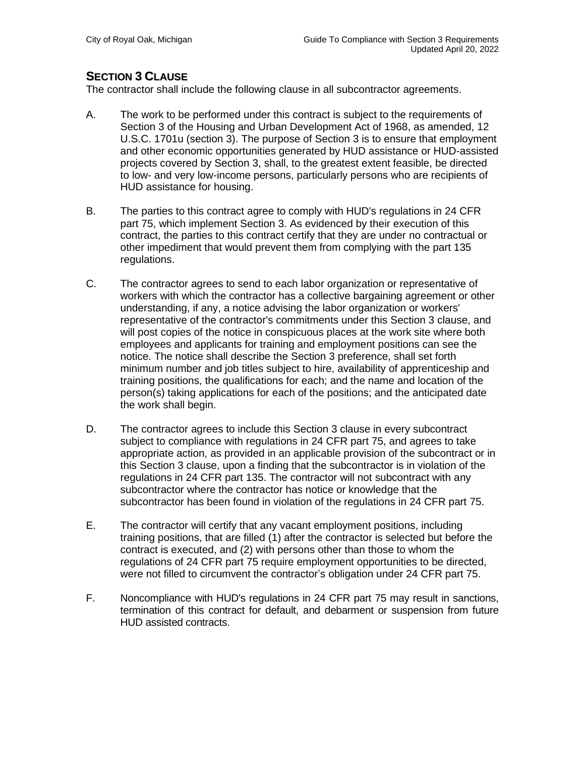## **SECTION 3 CLAUSE**

The contractor shall include the following clause in all subcontractor agreements.

- A. The work to be performed under this contract is subject to the requirements of Section 3 of the Housing and Urban Development Act of 1968, as amended, 12 U.S.C. 1701u (section 3). The purpose of Section 3 is to ensure that employment and other economic opportunities generated by HUD assistance or HUD-assisted projects covered by Section 3, shall, to the greatest extent feasible, be directed to low- and very low-income persons, particularly persons who are recipients of HUD assistance for housing.
- B. The parties to this contract agree to comply with HUD's regulations in 24 CFR part 75, which implement Section 3. As evidenced by their execution of this contract, the parties to this contract certify that they are under no contractual or other impediment that would prevent them from complying with the part 135 regulations.
- C. The contractor agrees to send to each labor organization or representative of workers with which the contractor has a collective bargaining agreement or other understanding, if any, a notice advising the labor organization or workers' representative of the contractor's commitments under this Section 3 clause, and will post copies of the notice in conspicuous places at the work site where both employees and applicants for training and employment positions can see the notice. The notice shall describe the Section 3 preference, shall set forth minimum number and job titles subject to hire, availability of apprenticeship and training positions, the qualifications for each; and the name and location of the person(s) taking applications for each of the positions; and the anticipated date the work shall begin.
- D. The contractor agrees to include this Section 3 clause in every subcontract subject to compliance with regulations in 24 CFR part 75, and agrees to take appropriate action, as provided in an applicable provision of the subcontract or in this Section 3 clause, upon a finding that the subcontractor is in violation of the regulations in 24 CFR part 135. The contractor will not subcontract with any subcontractor where the contractor has notice or knowledge that the subcontractor has been found in violation of the regulations in 24 CFR part 75.
- E. The contractor will certify that any vacant employment positions, including training positions, that are filled (1) after the contractor is selected but before the contract is executed, and (2) with persons other than those to whom the regulations of 24 CFR part 75 require employment opportunities to be directed, were not filled to circumvent the contractor's obligation under 24 CFR part 75.
- F. Noncompliance with HUD's regulations in 24 CFR part 75 may result in sanctions, termination of this contract for default, and debarment or suspension from future HUD assisted contracts.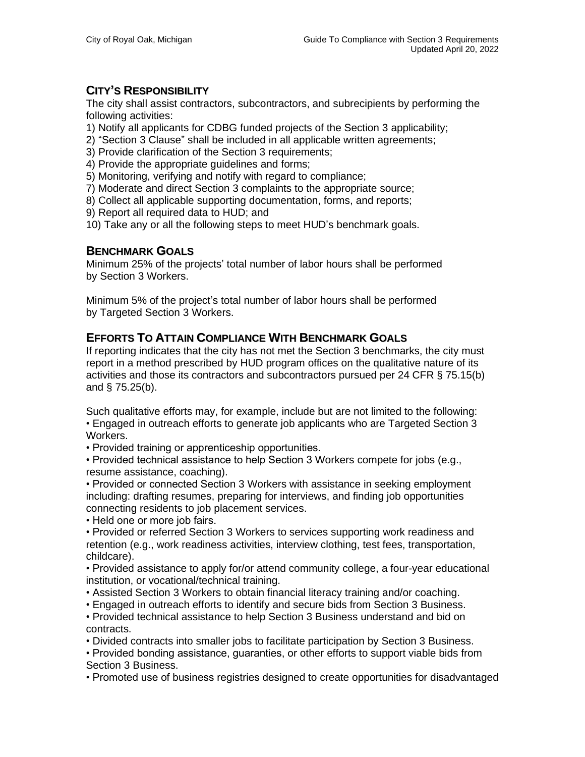# **CITY'S RESPONSIBILITY**

The city shall assist contractors, subcontractors, and subrecipients by performing the following activities:

1) Notify all applicants for CDBG funded projects of the Section 3 applicability;

- 2) "Section 3 Clause" shall be included in all applicable written agreements;
- 3) Provide clarification of the Section 3 requirements;
- 4) Provide the appropriate guidelines and forms;

5) Monitoring, verifying and notify with regard to compliance;

7) Moderate and direct Section 3 complaints to the appropriate source;

8) Collect all applicable supporting documentation, forms, and reports;

9) Report all required data to HUD; and

10) Take any or all the following steps to meet HUD's benchmark goals.

## **BENCHMARK GOALS**

Minimum 25% of the projects' total number of labor hours shall be performed by Section 3 Workers.

Minimum 5% of the project's total number of labor hours shall be performed by Targeted Section 3 Workers.

## **EFFORTS TO ATTAIN COMPLIANCE WITH BENCHMARK GOALS**

If reporting indicates that the city has not met the Section 3 benchmarks, the city must report in a method prescribed by HUD program offices on the qualitative nature of its activities and those its contractors and subcontractors pursued per 24 CFR § 75.15(b) and § 75.25(b).

Such qualitative efforts may, for example, include but are not limited to the following: • Engaged in outreach efforts to generate job applicants who are Targeted Section 3 Workers.

• Provided training or apprenticeship opportunities.

• Provided technical assistance to help Section 3 Workers compete for jobs (e.g., resume assistance, coaching).

• Provided or connected Section 3 Workers with assistance in seeking employment including: drafting resumes, preparing for interviews, and finding job opportunities connecting residents to job placement services.

• Held one or more job fairs.

• Provided or referred Section 3 Workers to services supporting work readiness and retention (e.g., work readiness activities, interview clothing, test fees, transportation, childcare).

• Provided assistance to apply for/or attend community college, a four-year educational institution, or vocational/technical training.

• Assisted Section 3 Workers to obtain financial literacy training and/or coaching.

• Engaged in outreach efforts to identify and secure bids from Section 3 Business.

• Provided technical assistance to help Section 3 Business understand and bid on contracts.

• Divided contracts into smaller jobs to facilitate participation by Section 3 Business.

• Provided bonding assistance, guaranties, or other efforts to support viable bids from Section 3 Business.

• Promoted use of business registries designed to create opportunities for disadvantaged